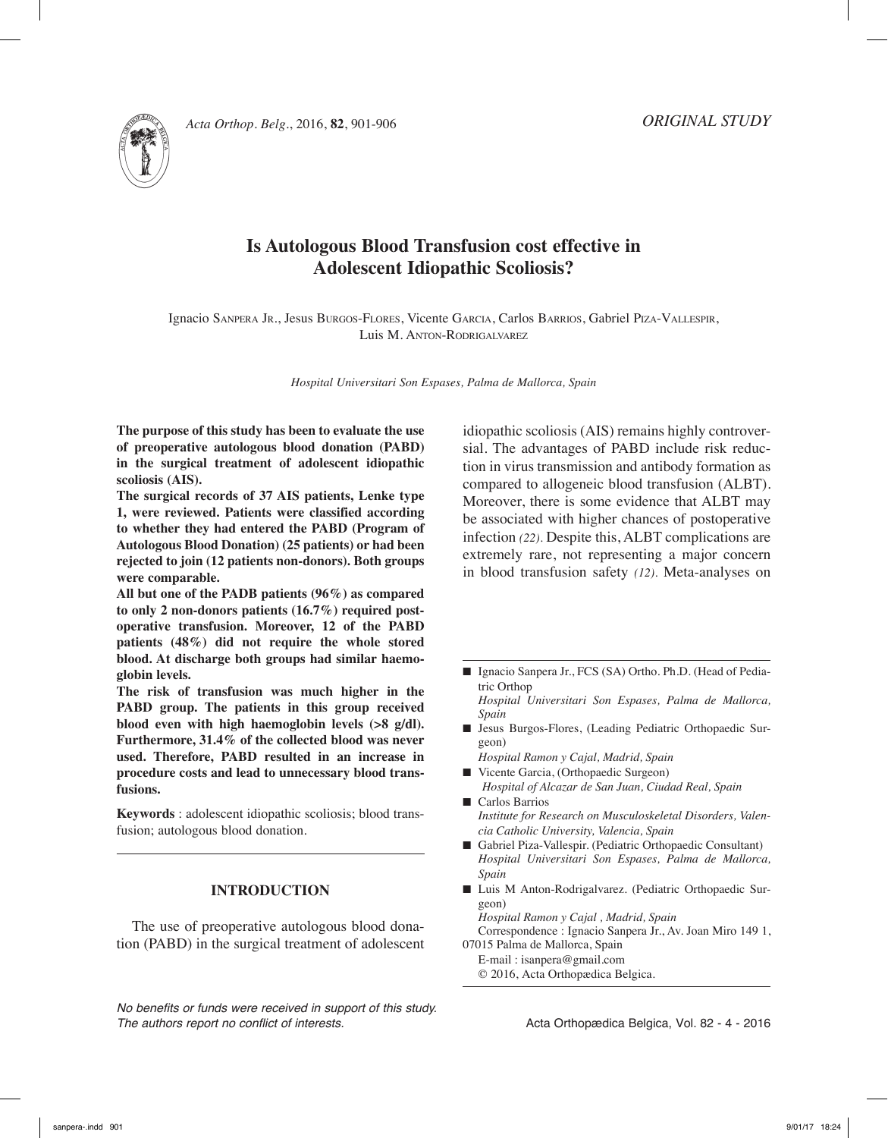

# **Is Autologous Blood Transfusion cost effective in Adolescent Idiopathic Scoliosis?**

Ignacio Sanpera Jr., Jesus Burgos-Flores, Vicente Garcia, Carlos Barrios, Gabriel Piza-Vallespir, Luis M. Anton-Rodrigalvarez

*Hospital Universitari Son Espases, Palma de Mallorca, Spain*

**The purpose of this study has been to evaluate the use of preoperative autologous blood donation (PABD) in the surgical treatment of adolescent idiopathic scoliosis (AIS).** 

**The surgical records of 37 AIS patients, Lenke type 1, were reviewed. Patients were classified according to whether they had entered the PABD (Program of Autologous Blood Donation) (25 patients) or had been rejected to join (12 patients non-donors). Both groups were comparable.**

**All but one of the PADB patients (96%) as compared to only 2 non-donors patients (16.7%) required postoperative transfusion. Moreover, 12 of the PABD patients (48%) did not require the whole stored blood. At discharge both groups had similar haemoglobin levels.**

**The risk of transfusion was much higher in the PABD group. The patients in this group received blood even with high haemoglobin levels (>8 g/dl). Furthermore, 31.4% of the collected blood was never used. Therefore, PABD resulted in an increase in procedure costs and lead to unnecessary blood transfusions.**

**Keywords** : adolescent idiopathic scoliosis; blood transfusion; autologous blood donation.

## **INTRODUCTION**

The use of preoperative autologous blood donation (PABD) in the surgical treatment of adolescent

*No benefits or funds were received in support of this study. The authors report no conflict of interests.* 

idiopathic scoliosis (AIS) remains highly controversial. The advantages of PABD include risk reduction in virus transmission and antibody formation as compared to allogeneic blood transfusion (ALBT). Moreover, there is some evidence that ALBT may be associated with higher chances of postoperative infection *(22).* Despite this, ALBT complications are extremely rare, not representing a major concern in blood transfusion safety *(12).* Meta-analyses on

- Ignacio Sanpera Jr., FCS (SA) Ortho. Ph.D. (Head of Pediatric Orthop
- *Hospital Universitari Son Espases, Palma de Mallorca, Spain*
- n Jesus Burgos-Flores, (Leading Pediatric Orthopaedic Surgeon)
	- *Hospital Ramon y Cajal, Madrid, Spain*
- Vicente Garcia, (Orthopaedic Surgeon) *Hospital of Alcazar de San Juan, Ciudad Real, Spain*
- Carlos Barrios *Institute for Research on Musculoskeletal Disorders, Valencia Catholic University, Valencia, Spain*
- Gabriel Piza-Vallespir. (Pediatric Orthopaedic Consultant) *Hospital Universitari Son Espases, Palma de Mallorca, Spain*
- Luis M Anton-Rodrigalvarez. (Pediatric Orthopaedic Surgeon)

*Hospital Ramon y Cajal , Madrid, Spain*

Correspondence : Ignacio Sanpera Jr., Av. Joan Miro 149 1, 07015 Palma de Mallorca, Spain

E-mail : isanpera@gmail.com

© 2016, Acta Orthopædica Belgica.

Acta Orthopædica Belgica, Vol. 82 - 4 - 2016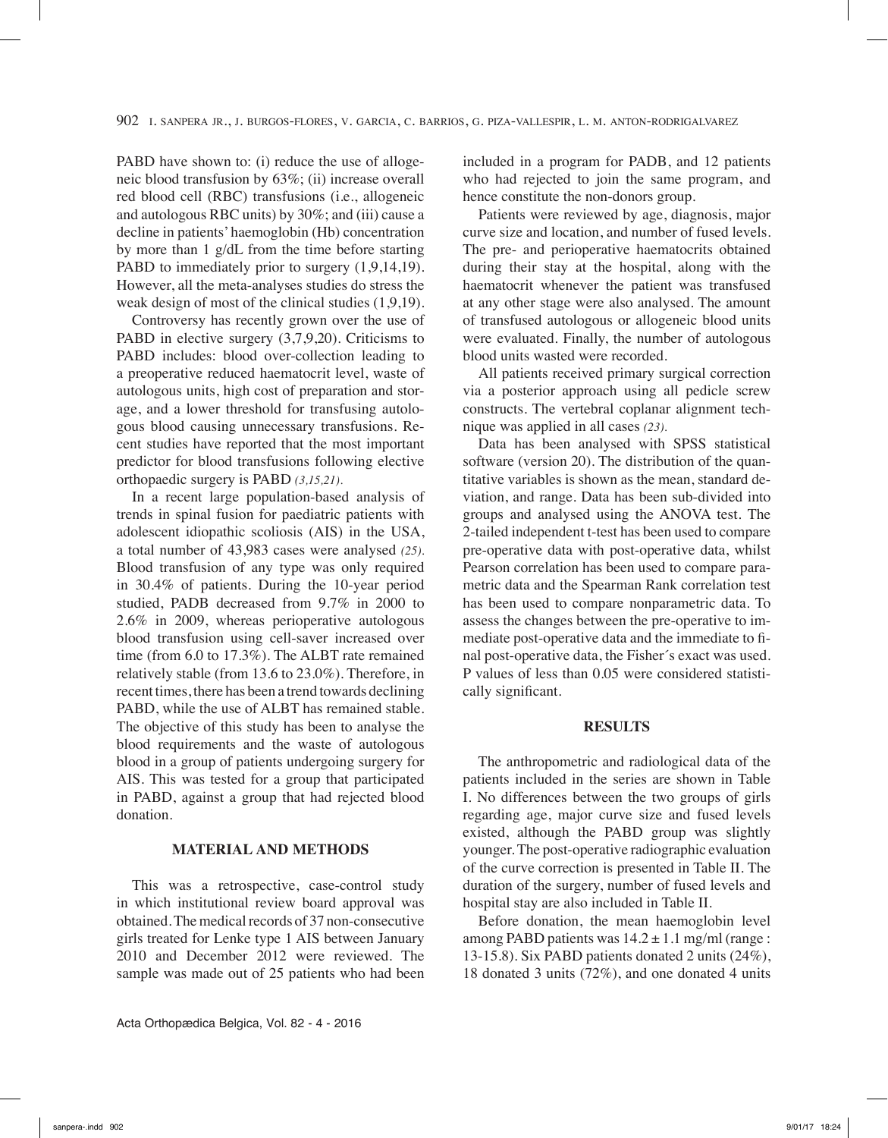PABD have shown to: (i) reduce the use of allogeneic blood transfusion by 63%; (ii) increase overall red blood cell (RBC) transfusions (i.e., allogeneic and autologous RBC units) by 30%; and (iii) cause a decline in patients' haemoglobin (Hb) concentration by more than 1 g/dL from the time before starting PABD to immediately prior to surgery  $(1,9,14,19)$ . However, all the meta-analyses studies do stress the weak design of most of the clinical studies (1,9,19).

Controversy has recently grown over the use of PABD in elective surgery  $(3,7,9,20)$ . Criticisms to PABD includes: blood over-collection leading to a preoperative reduced haematocrit level, waste of autologous units, high cost of preparation and storage, and a lower threshold for transfusing autologous blood causing unnecessary transfusions. Recent studies have reported that the most important predictor for blood transfusions following elective orthopaedic surgery is PABD *(3,15,21).*

In a recent large population-based analysis of trends in spinal fusion for paediatric patients with adolescent idiopathic scoliosis (AIS) in the USA, a total number of 43,983 cases were analysed *(25).*  Blood transfusion of any type was only required in 30.4% of patients. During the 10-year period studied, PADB decreased from 9.7% in 2000 to 2.6% in 2009, whereas perioperative autologous blood transfusion using cell-saver increased over time (from 6.0 to 17.3%). The ALBT rate remained relatively stable (from 13.6 to 23.0%). Therefore, in recent times, there has been a trend towards declining PABD, while the use of ALBT has remained stable. The objective of this study has been to analyse the blood requirements and the waste of autologous blood in a group of patients undergoing surgery for AIS. This was tested for a group that participated in PABD, against a group that had rejected blood donation.

# **MATERIAL AND METHODS**

This was a retrospective, case-control study in which institutional review board approval was obtained. The medical records of 37 non-consecutive girls treated for Lenke type 1 AIS between January 2010 and December 2012 were reviewed. The sample was made out of 25 patients who had been

Acta Orthopædica Belgica, Vol. 82 - 4 - 2016

included in a program for PADB, and 12 patients who had rejected to join the same program, and hence constitute the non-donors group.

Patients were reviewed by age, diagnosis, major curve size and location, and number of fused levels. The pre- and perioperative haematocrits obtained during their stay at the hospital, along with the haematocrit whenever the patient was transfused at any other stage were also analysed. The amount of transfused autologous or allogeneic blood units were evaluated. Finally, the number of autologous blood units wasted were recorded.

All patients received primary surgical correction via a posterior approach using all pedicle screw constructs. The vertebral coplanar alignment technique was applied in all cases *(23).*

Data has been analysed with SPSS statistical software (version 20). The distribution of the quantitative variables is shown as the mean, standard deviation, and range. Data has been sub-divided into groups and analysed using the ANOVA test. The 2-tailed independent t-test has been used to compare pre-operative data with post-operative data, whilst Pearson correlation has been used to compare parametric data and the Spearman Rank correlation test has been used to compare nonparametric data. To assess the changes between the pre-operative to immediate post-operative data and the immediate to final post-operative data, the Fisher´s exact was used. P values of less than 0.05 were considered statistically significant.

#### **RESULTS**

The anthropometric and radiological data of the patients included in the series are shown in Table I. No differences between the two groups of girls regarding age, major curve size and fused levels existed, although the PABD group was slightly younger. The post-operative radiographic evaluation of the curve correction is presented in Table II. The duration of the surgery, number of fused levels and hospital stay are also included in Table II.

Before donation, the mean haemoglobin level among PABD patients was  $14.2 \pm 1.1$  mg/ml (range: 13-15.8). Six PABD patients donated 2 units (24%), 18 donated 3 units (72%), and one donated 4 units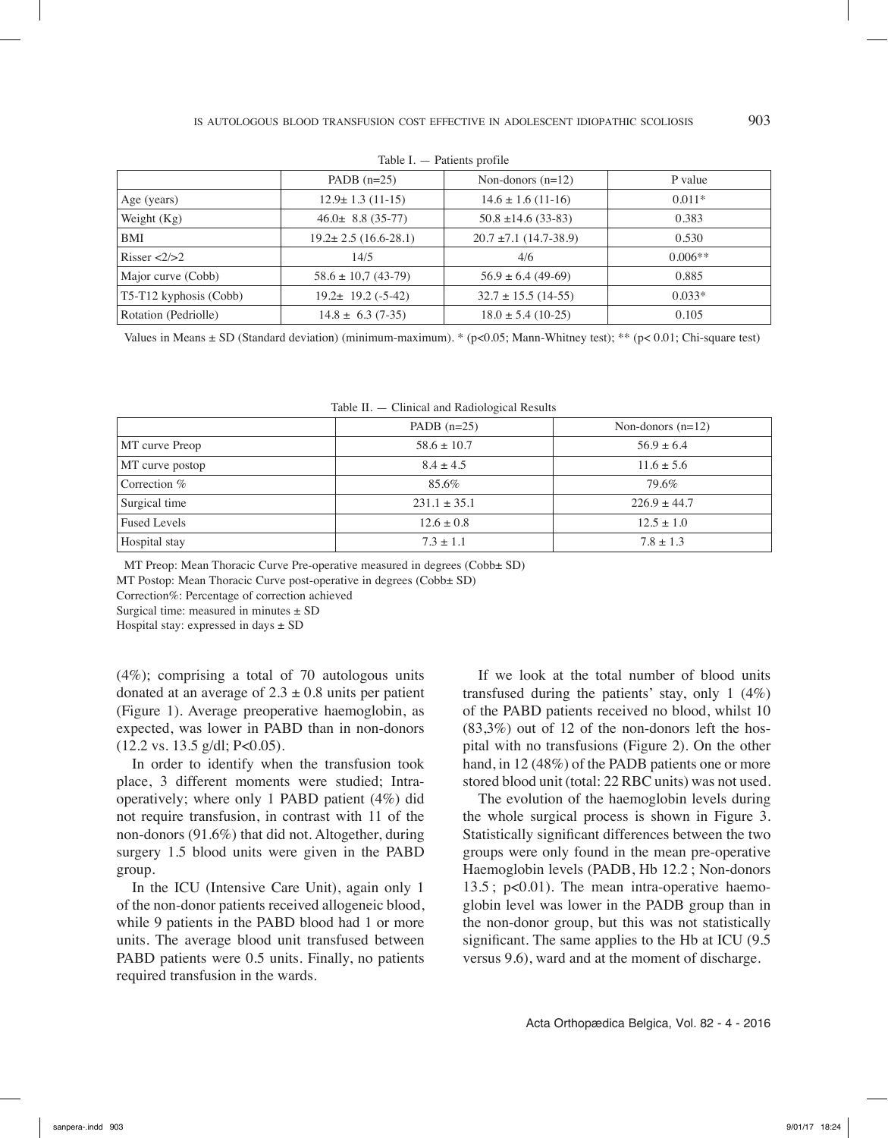|                              | PADB $(n=25)$              | Non-donors $(n=12)$        | P value   |  |
|------------------------------|----------------------------|----------------------------|-----------|--|
| Age (years)                  | $12.9 \pm 1.3$ (11-15)     | $14.6 \pm 1.6$ (11-16)     | $0.011*$  |  |
| Weight $(Kg)$                | $46.0 \pm 8.8$ (35-77)     | $50.8 \pm 14.6$ (33-83)    | 0.383     |  |
| <b>BMI</b>                   | $19.2 \pm 2.5$ (16.6-28.1) | $20.7 \pm 7.1$ (14.7-38.9) | 0.530     |  |
| Risser $\langle 2/2 \rangle$ | 14/5                       | 4/6                        | $0.006**$ |  |
| Major curve (Cobb)           | $58.6 \pm 10.7$ (43-79)    | $56.9 \pm 6.4$ (49-69)     | 0.885     |  |
| $T5-T12$ kyphosis (Cobb)     | $19.2 \pm 19.2$ (-5-42)    | $32.7 \pm 15.5$ (14-55)    | $0.033*$  |  |
| Rotation (Pedriolle)         | $14.8 \pm 6.3$ (7-35)      | $18.0 \pm 5.4$ (10-25)     | 0.105     |  |

| Table I. | Patients profile |  |
|----------|------------------|--|
|----------|------------------|--|

Values in Means  $\pm$  SD (Standard deviation) (minimum-maximum). \* (p<0.05; Mann-Whitney test); \*\* (p<0.01; Chi-square test)

|                     | PADB $(n=25)$    | Non-donors $(n=12)$ |
|---------------------|------------------|---------------------|
| MT curve Preop      | $58.6 \pm 10.7$  | $56.9 + 6.4$        |
| MT curve postop     | $8.4 \pm 4.5$    | $11.6 \pm 5.6$      |
| Correction %        | 85.6%            | 79.6%               |
| Surgical time       | $231.1 \pm 35.1$ | $226.9 \pm 44.7$    |
| <b>Fused Levels</b> | $12.6 \pm 0.8$   | $12.5 \pm 1.0$      |
| Hospital stay       | $7.3 \pm 1.1$    | $7.8 \pm 1.3$       |

MT Preop: Mean Thoracic Curve Pre-operative measured in degrees (Cobb± SD)

MT Postop: Mean Thoracic Curve post-operative in degrees (Cobb± SD)

Correction%: Percentage of correction achieved

Surgical time: measured in minutes  $\pm$  SD

Hospital stay: expressed in days  $\pm$  SD

(4%); comprising a total of 70 autologous units donated at an average of  $2.3 \pm 0.8$  units per patient (Figure 1). Average preoperative haemoglobin, as expected, was lower in PABD than in non-donors (12.2 vs. 13.5 g/dl; P<0.05).

In order to identify when the transfusion took place, 3 different moments were studied; Intraoperatively; where only 1 PABD patient (4%) did not require transfusion, in contrast with 11 of the non-donors (91.6%) that did not. Altogether, during surgery 1.5 blood units were given in the PABD group.

In the ICU (Intensive Care Unit), again only 1 of the non-donor patients received allogeneic blood, while 9 patients in the PABD blood had 1 or more units. The average blood unit transfused between PABD patients were 0.5 units. Finally, no patients required transfusion in the wards.

If we look at the total number of blood units transfused during the patients' stay, only 1 (4%) of the PABD patients received no blood, whilst 10 (83,3%) out of 12 of the non-donors left the hospital with no transfusions (Figure 2). On the other hand, in 12 (48%) of the PADB patients one or more stored blood unit (total: 22 RBC units) was not used.

The evolution of the haemoglobin levels during the whole surgical process is shown in Figure 3. Statistically significant differences between the two groups were only found in the mean pre-operative Haemoglobin levels (PADB, Hb 12.2 ; Non-donors 13.5 ; p<0.01). The mean intra-operative haemoglobin level was lower in the PADB group than in the non-donor group, but this was not statistically significant. The same applies to the Hb at ICU (9.5) versus 9.6), ward and at the moment of discharge.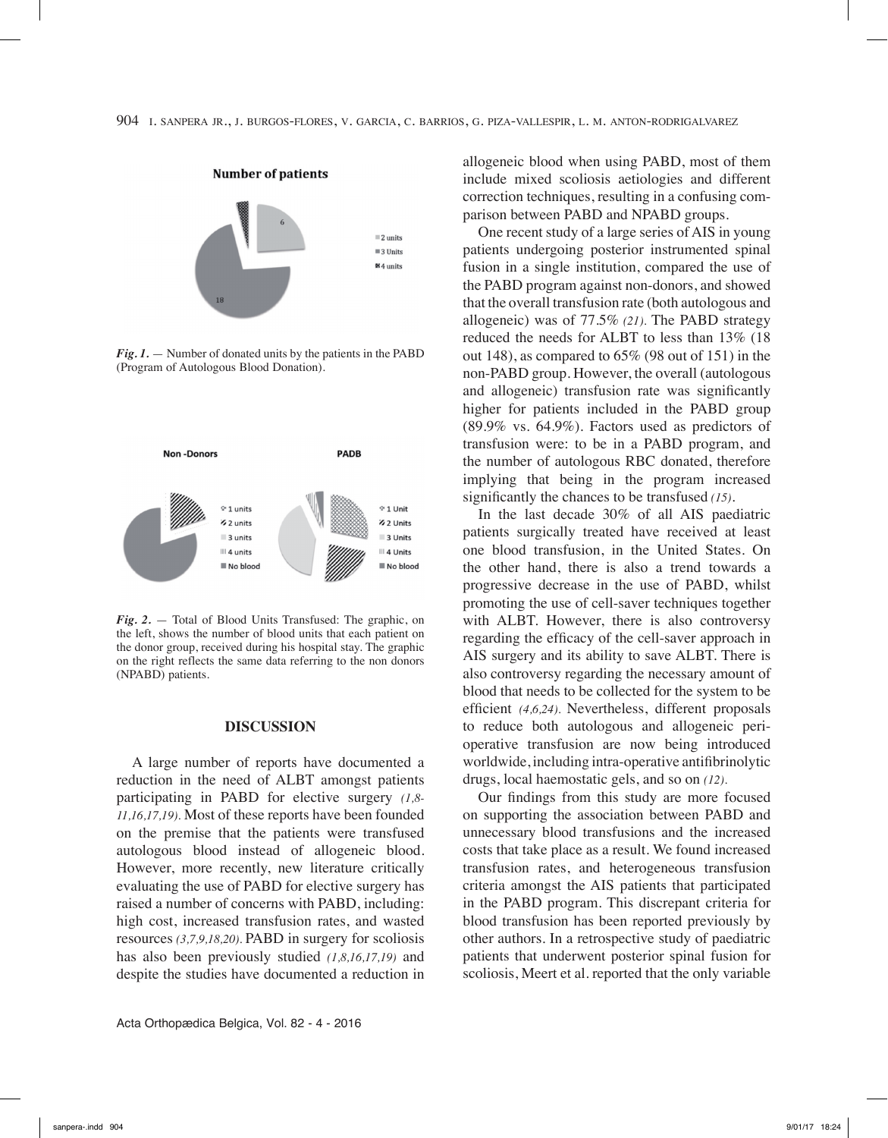

*Fig. 1.* — Number of donated units by the patients in the PABD (Program of Autologous Blood Donation).



*Fig. 2.* — Total of Blood Units Transfused: The graphic, on the left, shows the number of blood units that each patient on the donor group, received during his hospital stay. The graphic on the right reflects the same data referring to the non donors (NPABD) patients.

#### **DISCUSSION**

A large number of reports have documented a reduction in the need of ALBT amongst patients participating in PABD for elective surgery *(1,8- 11,16,17,19).* Most of these reports have been founded on the premise that the patients were transfused autologous blood instead of allogeneic blood. However, more recently, new literature critically evaluating the use of PABD for elective surgery has raised a number of concerns with PABD, including: high cost, increased transfusion rates, and wasted resources *(3,7,9,18,20).* PABD in surgery for scoliosis has also been previously studied *(1,8,16,17,19)* and despite the studies have documented a reduction in

Acta Orthopædica Belgica, Vol. 82 - 4 - 2016

allogeneic blood when using PABD, most of them include mixed scoliosis aetiologies and different correction techniques, resulting in a confusing comparison between PABD and NPABD groups.

One recent study of a large series of AIS in young patients undergoing posterior instrumented spinal fusion in a single institution, compared the use of the PABD program against non-donors, and showed that the overall transfusion rate (both autologous and allogeneic) was of 77.5% *(21).* The PABD strategy reduced the needs for ALBT to less than 13% (18 out 148), as compared to 65% (98 out of 151) in the non-PABD group. However, the overall (autologous and allogeneic) transfusion rate was significantly higher for patients included in the PABD group (89.9% vs. 64.9%). Factors used as predictors of transfusion were: to be in a PABD program, and the number of autologous RBC donated, therefore implying that being in the program increased significantly the chances to be transfused *(15)*.

In the last decade 30% of all AIS paediatric patients surgically treated have received at least one blood transfusion, in the United States. On the other hand, there is also a trend towards a progressive decrease in the use of PABD, whilst promoting the use of cell-saver techniques together with ALBT. However, there is also controversy regarding the efficacy of the cell-saver approach in AIS surgery and its ability to save ALBT. There is also controversy regarding the necessary amount of blood that needs to be collected for the system to be efficient *(4,6,24).* Nevertheless, different proposals to reduce both autologous and allogeneic perioperative transfusion are now being introduced worldwide, including intra-operative antifibrinolytic drugs, local haemostatic gels, and so on *(12).*

Our findings from this study are more focused on supporting the association between PABD and unnecessary blood transfusions and the increased costs that take place as a result. We found increased transfusion rates, and heterogeneous transfusion criteria amongst the AIS patients that participated in the PABD program. This discrepant criteria for blood transfusion has been reported previously by other authors. In a retrospective study of paediatric patients that underwent posterior spinal fusion for scoliosis, Meert et al. reported that the only variable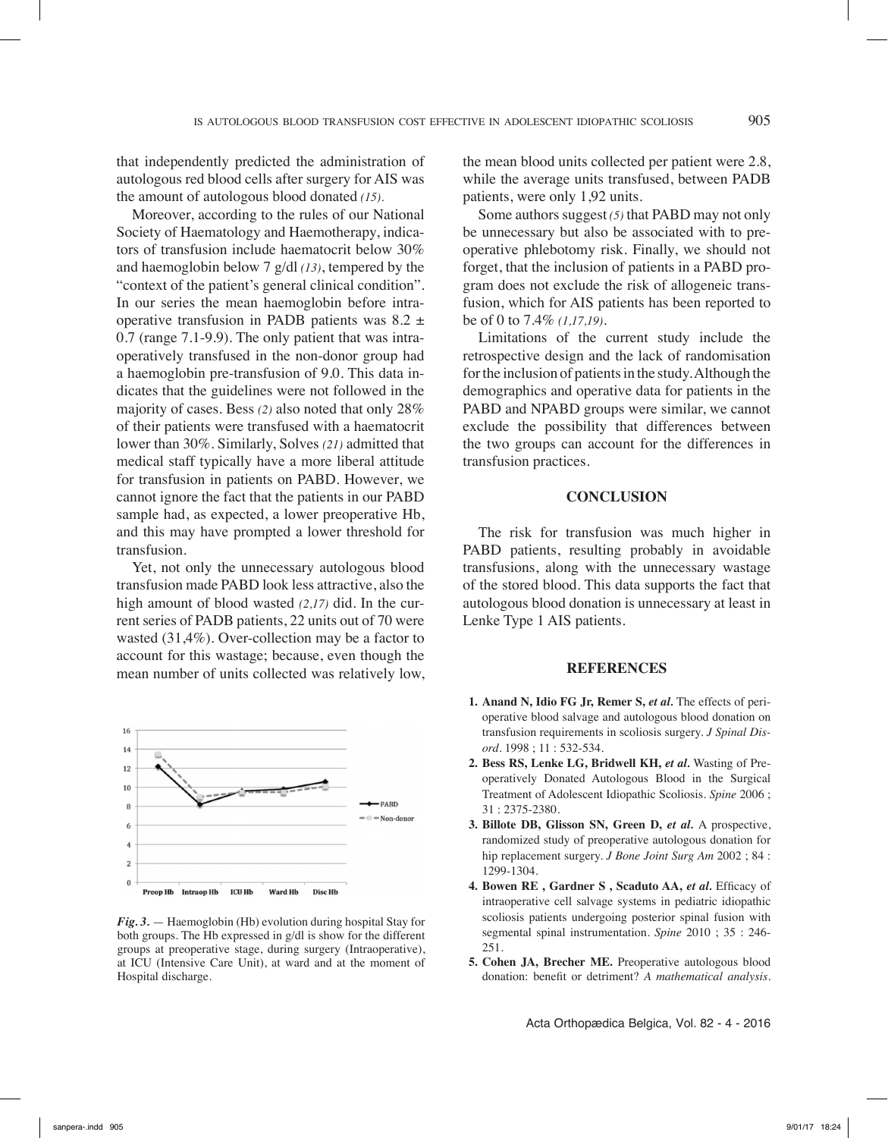that independently predicted the administration of autologous red blood cells after surgery for AIS was the amount of autologous blood donated *(15).* 

Moreover, according to the rules of our National Society of Haematology and Haemotherapy, indicators of transfusion include haematocrit below 30% and haemoglobin below 7 g/dl *(13)*, tempered by the "context of the patient's general clinical condition". In our series the mean haemoglobin before intraoperative transfusion in PADB patients was 8.2 ± 0.7 (range 7.1-9.9). The only patient that was intraoperatively transfused in the non-donor group had a haemoglobin pre-transfusion of 9.0. This data indicates that the guidelines were not followed in the majority of cases. Bess *(2)* also noted that only 28% of their patients were transfused with a haematocrit lower than 30%. Similarly, Solves *(21)* admitted that medical staff typically have a more liberal attitude for transfusion in patients on PABD. However, we cannot ignore the fact that the patients in our PABD sample had, as expected, a lower preoperative Hb, and this may have prompted a lower threshold for transfusion.

Yet, not only the unnecessary autologous blood transfusion made PABD look less attractive, also the high amount of blood wasted *(2,17)* did. In the current series of PADB patients, 22 units out of 70 were wasted (31,4%). Over-collection may be a factor to account for this wastage; because, even though the mean number of units collected was relatively low,



*Fig. 3.* — Haemoglobin (Hb) evolution during hospital Stay for both groups. The Hb expressed in g/dl is show for the different groups at preoperative stage, during surgery (Intraoperative), at ICU (Intensive Care Unit), at ward and at the moment of Hospital discharge.

the mean blood units collected per patient were 2.8, while the average units transfused, between PADB patients, were only 1,92 units.

Some authors suggest *(5)* that PABD may not only be unnecessary but also be associated with to preoperative phlebotomy risk. Finally, we should not forget, that the inclusion of patients in a PABD program does not exclude the risk of allogeneic transfusion, which for AIS patients has been reported to be of 0 to 7.4% *(1,17,19)*.

Limitations of the current study include the retrospective design and the lack of randomisation for the inclusion of patients in the study. Although the demographics and operative data for patients in the PABD and NPABD groups were similar, we cannot exclude the possibility that differences between the two groups can account for the differences in transfusion practices.

### **Conclusion**

The risk for transfusion was much higher in PABD patients, resulting probably in avoidable transfusions, along with the unnecessary wastage of the stored blood. This data supports the fact that autologous blood donation is unnecessary at least in Lenke Type 1 AIS patients.

#### **References**

- **1. Anand N, Idio FG Jr, Remer S,** *et al.* The effects of perioperative blood salvage and autologous blood donation on transfusion requirements in scoliosis surgery. *J Spinal Disord*. 1998 ; 11 : 532-534.
- **2. Bess RS, Lenke LG, Bridwell KH,** *et al.* Wasting of Preoperatively Donated Autologous Blood in the Surgical Treatment of Adolescent Idiopathic Scoliosis. *Spine* 2006 ; 31 : 2375-2380.
- **3. Billote DB, Glisson SN, Green D,** *et al.* A prospective, randomized study of preoperative autologous donation for hip replacement surgery. *J Bone Joint Surg Am* 2002 ; 84 : 1299-1304.
- **4. Bowen RE , Gardner S , Scaduto AA,** *et al.* Efficacy of intraoperative cell salvage systems in pediatric idiopathic scoliosis patients undergoing posterior spinal fusion with segmental spinal instrumentation. *Spine* 2010 ; 35 : 246- 251.
- **5. Cohen JA, Brecher ME.** Preoperative autologous blood donation: benefit or detriment? *A mathematical analysis.*

Acta Orthopædica Belgica, Vol. 82 - 4 - 2016